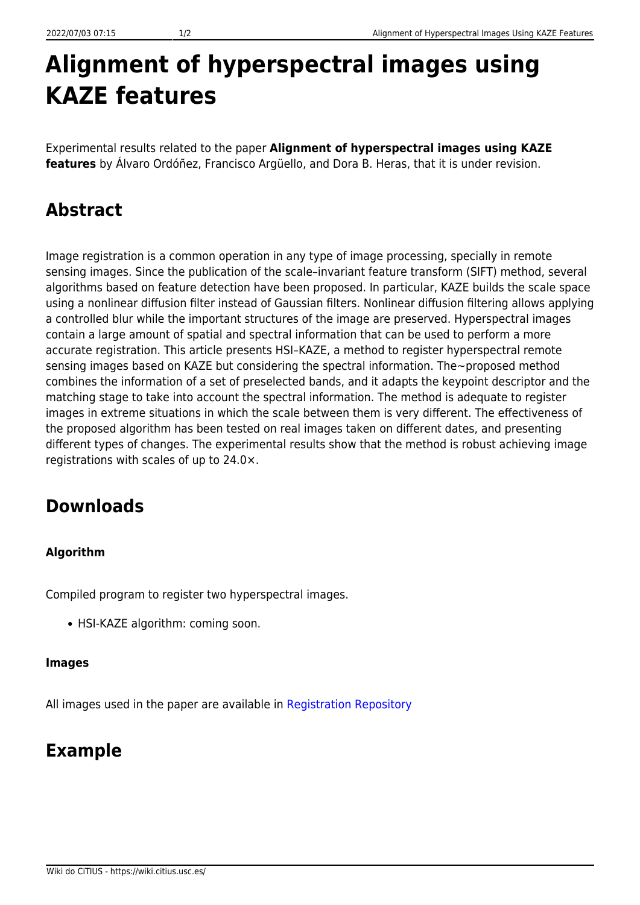# **Alignment of hyperspectral images using KAZE features**

Experimental results related to the paper **Alignment of hyperspectral images using KAZE features** by Álvaro Ordóñez, Francisco Argüello, and Dora B. Heras, that it is under revision.

## **Abstract**

Image registration is a common operation in any type of image processing, specially in remote sensing images. Since the publication of the scale–invariant feature transform (SIFT) method, several algorithms based on feature detection have been proposed. In particular, KAZE builds the scale space using a nonlinear diffusion filter instead of Gaussian filters. Nonlinear diffusion filtering allows applying a controlled blur while the important structures of the image are preserved. Hyperspectral images contain a large amount of spatial and spectral information that can be used to perform a more accurate registration. This article presents HSI–KAZE, a method to register hyperspectral remote sensing images based on KAZE but considering the spectral information. The~proposed method combines the information of a set of preselected bands, and it adapts the keypoint descriptor and the matching stage to take into account the spectral information. The method is adequate to register images in extreme situations in which the scale between them is very different. The effectiveness of the proposed algorithm has been tested on real images taken on different dates, and presenting different types of changes. The experimental results show that the method is robust achieving image registrations with scales of up to 24.0×.

### **Downloads**

#### **Algorithm**

Compiled program to register two hyperspectral images.

• HSI-KAZE algorithm: coming soon.

#### **Images**

All images used in the paper are available in [Registration Repository](https://gitlab.citius.usc.es/hiperespectral/RegistrationRepository)

### **Example**